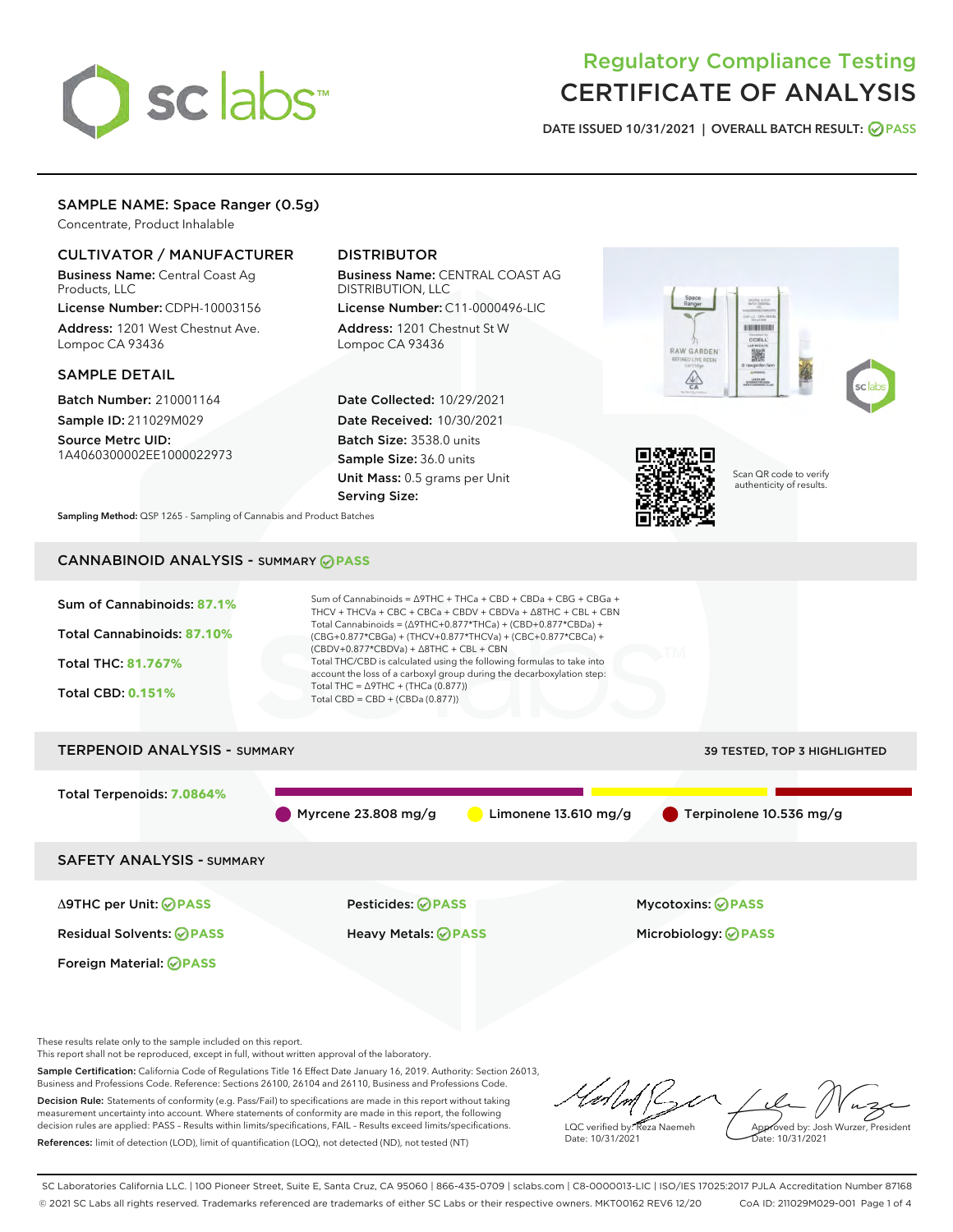# sclabs<sup>\*</sup>

# Regulatory Compliance Testing CERTIFICATE OF ANALYSIS

DATE ISSUED 10/31/2021 | OVERALL BATCH RESULT: @ PASS

# SAMPLE NAME: Space Ranger (0.5g)

Concentrate, Product Inhalable

# CULTIVATOR / MANUFACTURER

Business Name: Central Coast Ag Products, LLC License Number: CDPH-10003156

Address: 1201 West Chestnut Ave. Lompoc CA 93436

### SAMPLE DETAIL

Batch Number: 210001164 Sample ID: 211029M029

Source Metrc UID: 1A4060300002EE1000022973

# DISTRIBUTOR

Business Name: CENTRAL COAST AG DISTRIBUTION, LLC License Number: C11-0000496-LIC

Address: 1201 Chestnut St W Lompoc CA 93436

Date Collected: 10/29/2021 Date Received: 10/30/2021 Batch Size: 3538.0 units Sample Size: 36.0 units Unit Mass: 0.5 grams per Unit Serving Size:





Scan QR code to verify authenticity of results.

Sampling Method: QSP 1265 - Sampling of Cannabis and Product Batches

# CANNABINOID ANALYSIS - SUMMARY **PASS**



These results relate only to the sample included on this report.

This report shall not be reproduced, except in full, without written approval of the laboratory.

Sample Certification: California Code of Regulations Title 16 Effect Date January 16, 2019. Authority: Section 26013, Business and Professions Code. Reference: Sections 26100, 26104 and 26110, Business and Professions Code. Decision Rule: Statements of conformity (e.g. Pass/Fail) to specifications are made in this report without taking

measurement uncertainty into account. Where statements of conformity are made in this report, the following decision rules are applied: PASS – Results within limits/specifications, FAIL – Results exceed limits/specifications. References: limit of detection (LOD), limit of quantification (LOQ), not detected (ND), not tested (NT)

LQC verified by: Reza Naemeh Date: 10/31/2021 Approved by: Josh Wurzer, President Date: 10/31/2021

SC Laboratories California LLC. | 100 Pioneer Street, Suite E, Santa Cruz, CA 95060 | 866-435-0709 | sclabs.com | C8-0000013-LIC | ISO/IES 17025:2017 PJLA Accreditation Number 87168 © 2021 SC Labs all rights reserved. Trademarks referenced are trademarks of either SC Labs or their respective owners. MKT00162 REV6 12/20 CoA ID: 211029M029-001 Page 1 of 4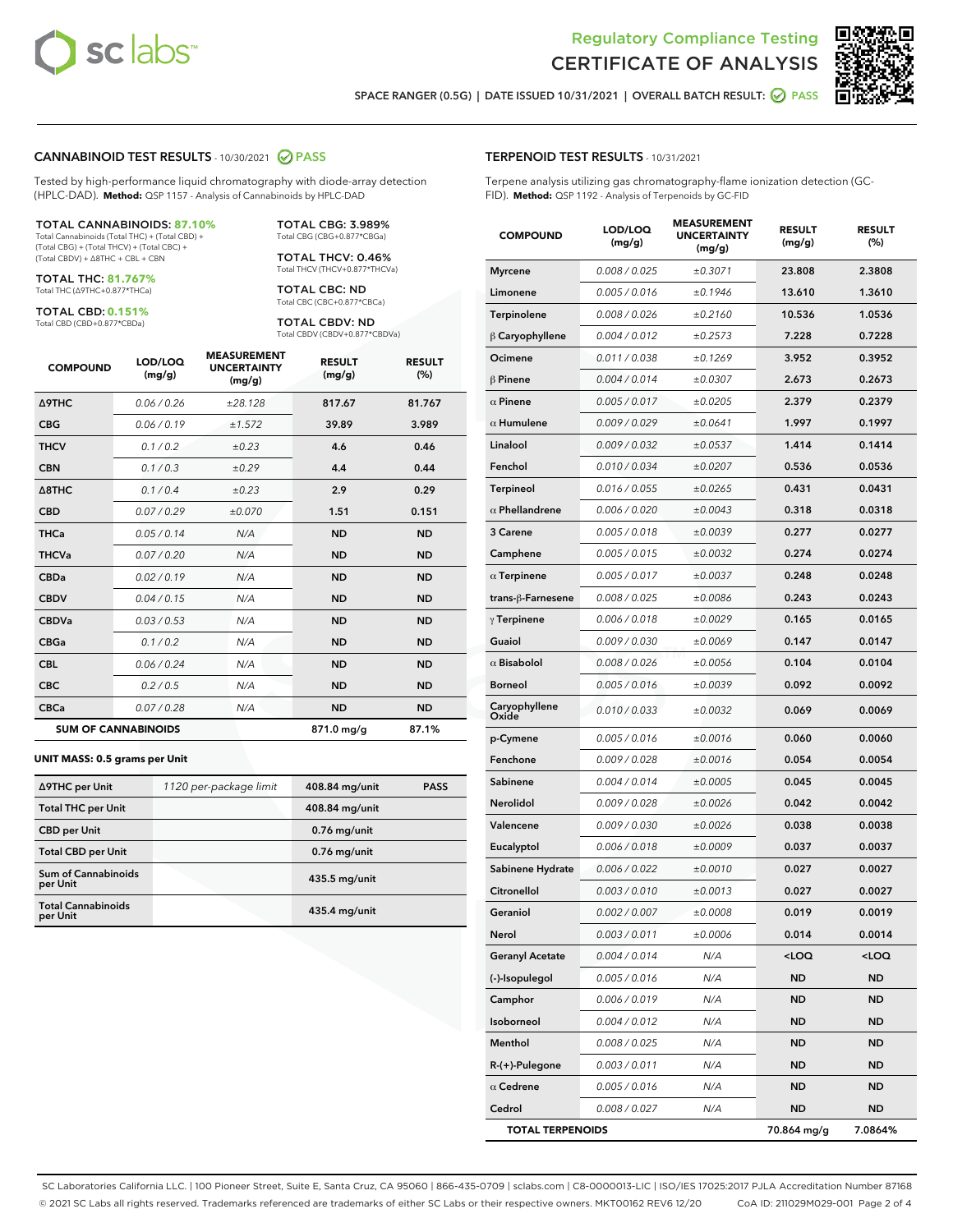



SPACE RANGER (0.5G) | DATE ISSUED 10/31/2021 | OVERALL BATCH RESULT: 2 PASS

#### CANNABINOID TEST RESULTS - 10/30/2021 2 PASS

Tested by high-performance liquid chromatography with diode-array detection (HPLC-DAD). **Method:** QSP 1157 - Analysis of Cannabinoids by HPLC-DAD

#### TOTAL CANNABINOIDS: **87.10%**

Total Cannabinoids (Total THC) + (Total CBD) + (Total CBG) + (Total THCV) + (Total CBC) + (Total CBDV) + ∆8THC + CBL + CBN

TOTAL THC: **81.767%** Total THC (∆9THC+0.877\*THCa)

TOTAL CBD: **0.151%**

Total CBD (CBD+0.877\*CBDa)

TOTAL CBG: 3.989% Total CBG (CBG+0.877\*CBGa)

TOTAL THCV: 0.46% Total THCV (THCV+0.877\*THCVa)

TOTAL CBC: ND Total CBC (CBC+0.877\*CBCa)

TOTAL CBDV: ND Total CBDV (CBDV+0.877\*CBDVa)

| <b>COMPOUND</b>            | LOD/LOQ<br>(mg/g) | <b>MEASUREMENT</b><br><b>UNCERTAINTY</b><br>(mg/g) | <b>RESULT</b><br>(mg/g) | <b>RESULT</b><br>(%) |
|----------------------------|-------------------|----------------------------------------------------|-------------------------|----------------------|
| <b>A9THC</b>               | 0.06 / 0.26       | ±28.128                                            | 817.67                  | 81.767               |
| <b>CBG</b>                 | 0.06/0.19         | ±1.572                                             | 39.89                   | 3.989                |
| <b>THCV</b>                | 0.1 / 0.2         | ±0.23                                              | 4.6                     | 0.46                 |
| <b>CBN</b>                 | 0.1 / 0.3         | ±0.29                                              | 4.4                     | 0.44                 |
| $\triangle$ 8THC           | 0.1/0.4           | $\pm 0.23$                                         | 2.9                     | 0.29                 |
| <b>CBD</b>                 | 0.07/0.29         | ±0.070                                             | 1.51                    | 0.151                |
| <b>THCa</b>                | 0.05/0.14         | N/A                                                | <b>ND</b>               | <b>ND</b>            |
| <b>THCVa</b>               | 0.07/0.20         | N/A                                                | <b>ND</b>               | <b>ND</b>            |
| <b>CBDa</b>                | 0.02/0.19         | N/A                                                | <b>ND</b>               | <b>ND</b>            |
| <b>CBDV</b>                | 0.04/0.15         | N/A                                                | <b>ND</b>               | <b>ND</b>            |
| <b>CBDVa</b>               | 0.03/0.53         | N/A                                                | <b>ND</b>               | <b>ND</b>            |
| <b>CBGa</b>                | 0.1/0.2           | N/A                                                | <b>ND</b>               | <b>ND</b>            |
| <b>CBL</b>                 | 0.06 / 0.24       | N/A                                                | <b>ND</b>               | <b>ND</b>            |
| <b>CBC</b>                 | 0.2 / 0.5         | N/A                                                | <b>ND</b>               | <b>ND</b>            |
| <b>CBCa</b>                | 0.07 / 0.28       | N/A                                                | <b>ND</b>               | <b>ND</b>            |
| <b>SUM OF CANNABINOIDS</b> |                   |                                                    | $871.0$ mg/g            | 87.1%                |

#### **UNIT MASS: 0.5 grams per Unit**

| ∆9THC per Unit                        | 1120 per-package limit | 408.84 mg/unit  | <b>PASS</b> |
|---------------------------------------|------------------------|-----------------|-------------|
| <b>Total THC per Unit</b>             |                        | 408.84 mg/unit  |             |
| <b>CBD per Unit</b>                   |                        | $0.76$ mg/unit  |             |
| <b>Total CBD per Unit</b>             |                        | $0.76$ mg/unit  |             |
| Sum of Cannabinoids<br>per Unit       |                        | 435.5 mg/unit   |             |
| <b>Total Cannabinoids</b><br>per Unit |                        | $435.4$ mg/unit |             |

#### TERPENOID TEST RESULTS - 10/31/2021

Terpene analysis utilizing gas chromatography-flame ionization detection (GC-FID). **Method:** QSP 1192 - Analysis of Terpenoids by GC-FID

| <b>COMPOUND</b>         | LOD/LOQ<br>(mg/g) | <b>MEASUREMENT</b><br><b>UNCERTAINTY</b><br>(mg/g) | <b>RESULT</b><br>(mg/g) | <b>RESULT</b><br>$(\%)$ |
|-------------------------|-------------------|----------------------------------------------------|-------------------------|-------------------------|
| <b>Myrcene</b>          | 0.008 / 0.025     | ±0.3071                                            | 23.808                  | 2.3808                  |
| Limonene                | 0.005 / 0.016     | ±0.1946                                            | 13.610                  | 1.3610                  |
| Terpinolene             | 0.008 / 0.026     | ±0.2160                                            | 10.536                  | 1.0536                  |
| $\upbeta$ Caryophyllene | 0.004 / 0.012     | ±0.2573                                            | 7.228                   | 0.7228                  |
| Ocimene                 | 0.011 / 0.038     | ±0.1269                                            | 3.952                   | 0.3952                  |
| $\beta$ Pinene          | 0.004 / 0.014     | ±0.0307                                            | 2.673                   | 0.2673                  |
| $\alpha$ Pinene         | 0.005 / 0.017     | ±0.0205                                            | 2.379                   | 0.2379                  |
| $\alpha$ Humulene       | 0.009 / 0.029     | ±0.0641                                            | 1.997                   | 0.1997                  |
| Linalool                | 0.009 / 0.032     | ±0.0537                                            | 1.414                   | 0.1414                  |
| Fenchol                 | 0.010 / 0.034     | ±0.0207                                            | 0.536                   | 0.0536                  |
| <b>Terpineol</b>        | 0.016 / 0.055     | ±0.0265                                            | 0.431                   | 0.0431                  |
| $\alpha$ Phellandrene   | 0.006 / 0.020     | ±0.0043                                            | 0.318                   | 0.0318                  |
| 3 Carene                | 0.005 / 0.018     | ±0.0039                                            | 0.277                   | 0.0277                  |
| Camphene                | 0.005 / 0.015     | ±0.0032                                            | 0.274                   | 0.0274                  |
| $\alpha$ Terpinene      | 0.005 / 0.017     | ±0.0037                                            | 0.248                   | 0.0248                  |
| trans-β-Farnesene       | 0.008 / 0.025     | ±0.0086                                            | 0.243                   | 0.0243                  |
| $\gamma$ Terpinene      | 0.006 / 0.018     | ±0.0029                                            | 0.165                   | 0.0165                  |
| Guaiol                  | 0.009 / 0.030     | ±0.0069                                            | 0.147                   | 0.0147                  |
| $\alpha$ Bisabolol      | 0.008 / 0.026     | ±0.0056                                            | 0.104                   | 0.0104                  |
| <b>Borneol</b>          | 0.005 / 0.016     | ±0.0039                                            | 0.092                   | 0.0092                  |
| Caryophyllene<br>Oxide  | 0.010 / 0.033     | ±0.0032                                            | 0.069                   | 0.0069                  |
| p-Cymene                | 0.005 / 0.016     | ±0.0016                                            | 0.060                   | 0.0060                  |
| Fenchone                | 0.009 / 0.028     | ±0.0016                                            | 0.054                   | 0.0054                  |
| Sabinene                | 0.004 / 0.014     | ±0.0005                                            | 0.045                   | 0.0045                  |
| Nerolidol               | 0.009 / 0.028     | ±0.0026                                            | 0.042                   | 0.0042                  |
| Valencene               | 0.009 / 0.030     | ±0.0026                                            | 0.038                   | 0.0038                  |
| Eucalyptol              | 0.006 / 0.018     | ±0.0009                                            | 0.037                   | 0.0037                  |
| Sabinene Hydrate        | 0.006 / 0.022     | ±0.0010                                            | 0.027                   | 0.0027                  |
| Citronellol             | 0.003 / 0.010     | ±0.0013                                            | 0.027                   | 0.0027                  |
| Geraniol                | 0.002 / 0.007     | ±0.0008                                            | 0.019                   | 0.0019                  |
| Nerol                   | 0.003 / 0.011     | ±0.0006                                            | 0.014                   | 0.0014                  |
| <b>Geranyl Acetate</b>  | 0.004 / 0.014     | N/A                                                | $<$ LOQ                 | <loq< th=""></loq<>     |
| (-)-Isopulegol          | 0.005 / 0.016     | N/A                                                | ND                      | ND                      |
| Camphor                 | 0.006 / 0.019     | N/A                                                | ND                      | ND                      |
| Isoborneol              | 0.004 / 0.012     | N/A                                                | ND                      | ND                      |
| Menthol                 | 0.008 / 0.025     | N/A                                                | <b>ND</b>               | ND                      |
| R-(+)-Pulegone          | 0.003 / 0.011     | N/A                                                | ND                      | ND                      |
| $\alpha$ Cedrene        | 0.005 / 0.016     | N/A                                                | ND                      | ND                      |
| Cedrol                  | 0.008 / 0.027     | N/A                                                | ND                      | ND                      |
| <b>TOTAL TERPENOIDS</b> |                   |                                                    | 70.864 mg/g             | 7.0864%                 |

SC Laboratories California LLC. | 100 Pioneer Street, Suite E, Santa Cruz, CA 95060 | 866-435-0709 | sclabs.com | C8-0000013-LIC | ISO/IES 17025:2017 PJLA Accreditation Number 87168 © 2021 SC Labs all rights reserved. Trademarks referenced are trademarks of either SC Labs or their respective owners. MKT00162 REV6 12/20 CoA ID: 211029M029-001 Page 2 of 4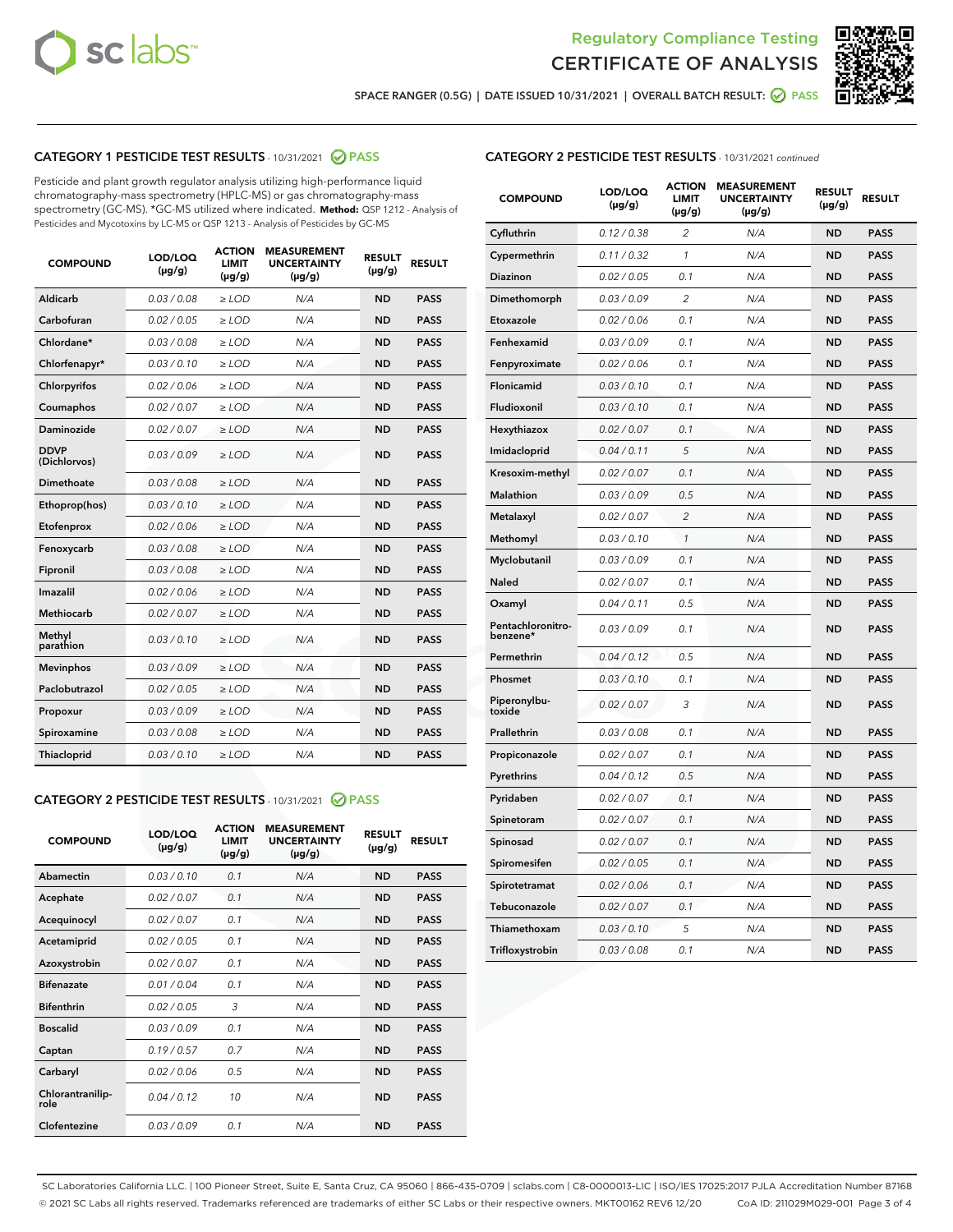



SPACE RANGER (0.5G) | DATE ISSUED 10/31/2021 | OVERALL BATCH RESULT:  $\bigcirc$  PASS

# CATEGORY 1 PESTICIDE TEST RESULTS - 10/31/2021 2 PASS

Pesticide and plant growth regulator analysis utilizing high-performance liquid chromatography-mass spectrometry (HPLC-MS) or gas chromatography-mass spectrometry (GC-MS). \*GC-MS utilized where indicated. **Method:** QSP 1212 - Analysis of Pesticides and Mycotoxins by LC-MS or QSP 1213 - Analysis of Pesticides by GC-MS

| <b>COMPOUND</b>             | LOD/LOQ<br>$(\mu g/g)$ | <b>ACTION</b><br><b>LIMIT</b><br>$(\mu q/q)$ | <b>MEASUREMENT</b><br><b>UNCERTAINTY</b><br>$(\mu g/g)$ | <b>RESULT</b><br>$(\mu g/g)$ | <b>RESULT</b> |
|-----------------------------|------------------------|----------------------------------------------|---------------------------------------------------------|------------------------------|---------------|
| Aldicarb                    | 0.03 / 0.08            | $\ge$ LOD                                    | N/A                                                     | <b>ND</b>                    | <b>PASS</b>   |
| Carbofuran                  | 0.02 / 0.05            | $\ge$ LOD                                    | N/A                                                     | <b>ND</b>                    | <b>PASS</b>   |
| Chlordane*                  | 0.03 / 0.08            | $\ge$ LOD                                    | N/A                                                     | <b>ND</b>                    | <b>PASS</b>   |
| Chlorfenapyr*               | 0.03/0.10              | $\ge$ LOD                                    | N/A                                                     | <b>ND</b>                    | <b>PASS</b>   |
| Chlorpyrifos                | 0.02 / 0.06            | $\ge$ LOD                                    | N/A                                                     | <b>ND</b>                    | <b>PASS</b>   |
| Coumaphos                   | 0.02 / 0.07            | $\ge$ LOD                                    | N/A                                                     | <b>ND</b>                    | <b>PASS</b>   |
| Daminozide                  | 0.02 / 0.07            | $\ge$ LOD                                    | N/A                                                     | <b>ND</b>                    | <b>PASS</b>   |
| <b>DDVP</b><br>(Dichlorvos) | 0.03/0.09              | $>$ LOD                                      | N/A                                                     | <b>ND</b>                    | <b>PASS</b>   |
| Dimethoate                  | 0.03 / 0.08            | $\ge$ LOD                                    | N/A                                                     | <b>ND</b>                    | <b>PASS</b>   |
| Ethoprop(hos)               | 0.03/0.10              | $\ge$ LOD                                    | N/A                                                     | <b>ND</b>                    | <b>PASS</b>   |
| Etofenprox                  | 0.02/0.06              | $>$ LOD                                      | N/A                                                     | <b>ND</b>                    | <b>PASS</b>   |
| Fenoxycarb                  | 0.03 / 0.08            | $\ge$ LOD                                    | N/A                                                     | <b>ND</b>                    | <b>PASS</b>   |
| Fipronil                    | 0.03/0.08              | $>$ LOD                                      | N/A                                                     | <b>ND</b>                    | <b>PASS</b>   |
| Imazalil                    | 0.02 / 0.06            | $\ge$ LOD                                    | N/A                                                     | <b>ND</b>                    | <b>PASS</b>   |
| Methiocarb                  | 0.02 / 0.07            | $\ge$ LOD                                    | N/A                                                     | <b>ND</b>                    | <b>PASS</b>   |
| Methyl<br>parathion         | 0.03/0.10              | $>$ LOD                                      | N/A                                                     | <b>ND</b>                    | <b>PASS</b>   |
| <b>Mevinphos</b>            | 0.03/0.09              | $>$ LOD                                      | N/A                                                     | <b>ND</b>                    | <b>PASS</b>   |
| Paclobutrazol               | 0.02 / 0.05            | $\ge$ LOD                                    | N/A                                                     | <b>ND</b>                    | <b>PASS</b>   |
| Propoxur                    | 0.03 / 0.09            | $\ge$ LOD                                    | N/A                                                     | <b>ND</b>                    | <b>PASS</b>   |
| Spiroxamine                 | 0.03 / 0.08            | $\ge$ LOD                                    | N/A                                                     | <b>ND</b>                    | <b>PASS</b>   |
| Thiacloprid                 | 0.03/0.10              | $\ge$ LOD                                    | N/A                                                     | <b>ND</b>                    | <b>PASS</b>   |

#### CATEGORY 2 PESTICIDE TEST RESULTS - 10/31/2021 @ PASS

| <b>COMPOUND</b>          | LOD/LOO<br>$(\mu g/g)$ | <b>ACTION</b><br>LIMIT<br>$(\mu g/g)$ | <b>MEASUREMENT</b><br><b>UNCERTAINTY</b><br>$(\mu g/g)$ | <b>RESULT</b><br>$(\mu g/g)$ | <b>RESULT</b> |
|--------------------------|------------------------|---------------------------------------|---------------------------------------------------------|------------------------------|---------------|
| Abamectin                | 0.03/0.10              | 0.1                                   | N/A                                                     | <b>ND</b>                    | <b>PASS</b>   |
| Acephate                 | 0.02/0.07              | 0.1                                   | N/A                                                     | <b>ND</b>                    | <b>PASS</b>   |
| Acequinocyl              | 0.02/0.07              | 0.1                                   | N/A                                                     | <b>ND</b>                    | <b>PASS</b>   |
| Acetamiprid              | 0.02/0.05              | 0.1                                   | N/A                                                     | <b>ND</b>                    | <b>PASS</b>   |
| Azoxystrobin             | 0.02/0.07              | 0.1                                   | N/A                                                     | <b>ND</b>                    | <b>PASS</b>   |
| <b>Bifenazate</b>        | 0.01/0.04              | 0.1                                   | N/A                                                     | <b>ND</b>                    | <b>PASS</b>   |
| <b>Bifenthrin</b>        | 0.02 / 0.05            | 3                                     | N/A                                                     | <b>ND</b>                    | <b>PASS</b>   |
| <b>Boscalid</b>          | 0.03/0.09              | 0.1                                   | N/A                                                     | <b>ND</b>                    | <b>PASS</b>   |
| Captan                   | 0.19/0.57              | 0.7                                   | N/A                                                     | <b>ND</b>                    | <b>PASS</b>   |
| Carbaryl                 | 0.02/0.06              | 0.5                                   | N/A                                                     | <b>ND</b>                    | <b>PASS</b>   |
| Chlorantranilip-<br>role | 0.04/0.12              | 10                                    | N/A                                                     | <b>ND</b>                    | <b>PASS</b>   |
| Clofentezine             | 0.03/0.09              | 0.1                                   | N/A                                                     | <b>ND</b>                    | <b>PASS</b>   |

# CATEGORY 2 PESTICIDE TEST RESULTS - 10/31/2021 continued

| <b>COMPOUND</b>               | LOD/LOQ<br>(µg/g) | <b>ACTION</b><br><b>LIMIT</b><br>$(\mu g/g)$ | <b>MEASUREMENT</b><br><b>UNCERTAINTY</b><br>$(\mu g/g)$ | <b>RESULT</b><br>(µg/g) | <b>RESULT</b> |
|-------------------------------|-------------------|----------------------------------------------|---------------------------------------------------------|-------------------------|---------------|
| Cyfluthrin                    | 0.12 / 0.38       | $\overline{c}$                               | N/A                                                     | <b>ND</b>               | <b>PASS</b>   |
| Cypermethrin                  | 0.11 / 0.32       | 1                                            | N/A                                                     | ND                      | <b>PASS</b>   |
| <b>Diazinon</b>               | 0.02 / 0.05       | 0.1                                          | N/A                                                     | ND                      | <b>PASS</b>   |
| Dimethomorph                  | 0.03 / 0.09       | 2                                            | N/A                                                     | ND                      | <b>PASS</b>   |
| Etoxazole                     | 0.02 / 0.06       | 0.1                                          | N/A                                                     | ND                      | <b>PASS</b>   |
| Fenhexamid                    | 0.03 / 0.09       | 0.1                                          | N/A                                                     | <b>ND</b>               | <b>PASS</b>   |
| Fenpyroximate                 | 0.02 / 0.06       | 0.1                                          | N/A                                                     | ND                      | <b>PASS</b>   |
| Flonicamid                    | 0.03 / 0.10       | 0.1                                          | N/A                                                     | ND                      | <b>PASS</b>   |
| Fludioxonil                   | 0.03 / 0.10       | 0.1                                          | N/A                                                     | <b>ND</b>               | <b>PASS</b>   |
| Hexythiazox                   | 0.02 / 0.07       | 0.1                                          | N/A                                                     | <b>ND</b>               | <b>PASS</b>   |
| Imidacloprid                  | 0.04 / 0.11       | 5                                            | N/A                                                     | ND                      | <b>PASS</b>   |
| Kresoxim-methyl               | 0.02 / 0.07       | 0.1                                          | N/A                                                     | <b>ND</b>               | <b>PASS</b>   |
| <b>Malathion</b>              | 0.03 / 0.09       | 0.5                                          | N/A                                                     | <b>ND</b>               | <b>PASS</b>   |
| Metalaxyl                     | 0.02 / 0.07       | $\overline{c}$                               | N/A                                                     | ND                      | <b>PASS</b>   |
| Methomyl                      | 0.03 / 0.10       | 1                                            | N/A                                                     | <b>ND</b>               | <b>PASS</b>   |
| Myclobutanil                  | 0.03 / 0.09       | 0.1                                          | N/A                                                     | ND                      | <b>PASS</b>   |
| Naled                         | 0.02 / 0.07       | 0.1                                          | N/A                                                     | ND                      | <b>PASS</b>   |
| Oxamyl                        | 0.04 / 0.11       | 0.5                                          | N/A                                                     | ND                      | <b>PASS</b>   |
| Pentachloronitro-<br>benzene* | 0.03 / 0.09       | 0.1                                          | N/A                                                     | ND                      | <b>PASS</b>   |
| Permethrin                    | 0.04 / 0.12       | 0.5                                          | N/A                                                     | ND                      | <b>PASS</b>   |
| Phosmet                       | 0.03 / 0.10       | 0.1                                          | N/A                                                     | <b>ND</b>               | <b>PASS</b>   |
| Piperonylbu-<br>toxide        | 0.02 / 0.07       | 3                                            | N/A                                                     | ND                      | <b>PASS</b>   |
| Prallethrin                   | 0.03 / 0.08       | 0.1                                          | N/A                                                     | <b>ND</b>               | <b>PASS</b>   |
| Propiconazole                 | 0.02 / 0.07       | 0.1                                          | N/A                                                     | ND                      | <b>PASS</b>   |
| Pyrethrins                    | 0.04 / 0.12       | 0.5                                          | N/A                                                     | ND                      | <b>PASS</b>   |
| Pyridaben                     | 0.02 / 0.07       | 0.1                                          | N/A                                                     | ND                      | <b>PASS</b>   |
| Spinetoram                    | 0.02 / 0.07       | 0.1                                          | N/A                                                     | <b>ND</b>               | <b>PASS</b>   |
| Spinosad                      | 0.02 / 0.07       | 0.1                                          | N/A                                                     | ND                      | <b>PASS</b>   |
| Spiromesifen                  | 0.02 / 0.05       | 0.1                                          | N/A                                                     | <b>ND</b>               | <b>PASS</b>   |
| Spirotetramat                 | 0.02 / 0.06       | 0.1                                          | N/A                                                     | ND                      | <b>PASS</b>   |
| Tebuconazole                  | 0.02 / 0.07       | 0.1                                          | N/A                                                     | ND                      | <b>PASS</b>   |
| Thiamethoxam                  | 0.03 / 0.10       | 5                                            | N/A                                                     | <b>ND</b>               | <b>PASS</b>   |
| Trifloxystrobin               | 0.03 / 0.08       | 0.1                                          | N/A                                                     | <b>ND</b>               | <b>PASS</b>   |

SC Laboratories California LLC. | 100 Pioneer Street, Suite E, Santa Cruz, CA 95060 | 866-435-0709 | sclabs.com | C8-0000013-LIC | ISO/IES 17025:2017 PJLA Accreditation Number 87168 © 2021 SC Labs all rights reserved. Trademarks referenced are trademarks of either SC Labs or their respective owners. MKT00162 REV6 12/20 CoA ID: 211029M029-001 Page 3 of 4